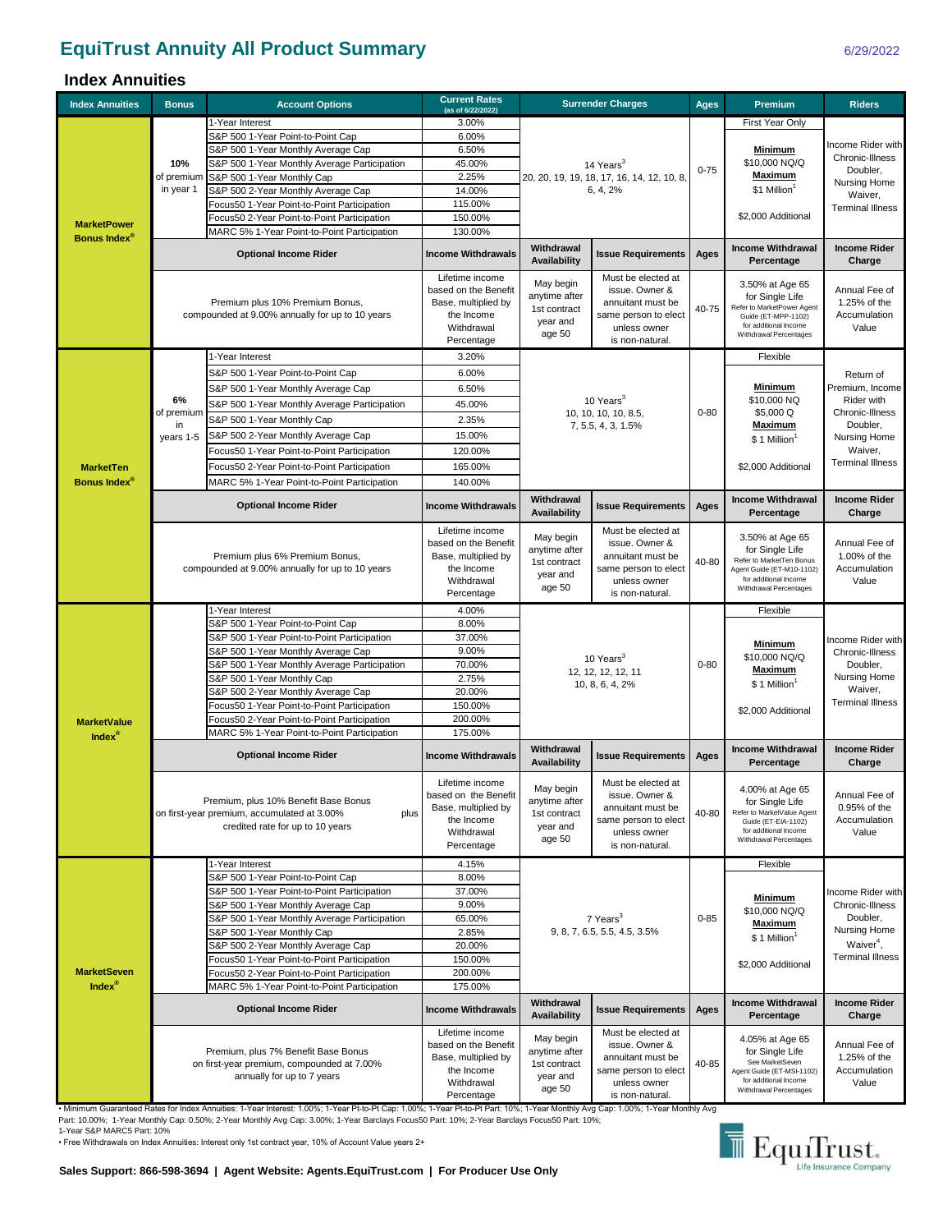## **EquiTrust Annuity All Product Summary**

## **Index Annuities**

| <b>Index Annuities</b>                  | <b>Bonus</b>                                                                                                                    | <b>Account Options</b>                                                                                                                                                                                                                                                                              | <b>Current Rates</b><br>(as of 6/22/2022)                                                                |                                                                  | <b>Surrender Charges</b>                                                                                             | <b>Ages</b> | <b>Premium</b>                                                                                                                                 | <b>Riders</b>                                                    |  |
|-----------------------------------------|---------------------------------------------------------------------------------------------------------------------------------|-----------------------------------------------------------------------------------------------------------------------------------------------------------------------------------------------------------------------------------------------------------------------------------------------------|----------------------------------------------------------------------------------------------------------|------------------------------------------------------------------|----------------------------------------------------------------------------------------------------------------------|-------------|------------------------------------------------------------------------------------------------------------------------------------------------|------------------------------------------------------------------|--|
|                                         |                                                                                                                                 | 1-Year Interest                                                                                                                                                                                                                                                                                     | 3.00%                                                                                                    |                                                                  |                                                                                                                      |             | First Year Only                                                                                                                                |                                                                  |  |
|                                         | 10%<br>of premium                                                                                                               | S&P 500 1-Year Point-to-Point Cap                                                                                                                                                                                                                                                                   | 6.00%                                                                                                    |                                                                  |                                                                                                                      | $0 - 75$    | <b>Minimum</b><br>\$10,000 NQ/Q                                                                                                                |                                                                  |  |
|                                         |                                                                                                                                 | S&P 500 1-Year Monthly Average Cap                                                                                                                                                                                                                                                                  | 6.50%                                                                                                    |                                                                  |                                                                                                                      |             |                                                                                                                                                | Income Rider with                                                |  |
|                                         |                                                                                                                                 | S&P 500 1-Year Monthly Average Participation                                                                                                                                                                                                                                                        | 45.00%<br>14 Years <sup>3</sup>                                                                          |                                                                  |                                                                                                                      |             |                                                                                                                                                | Chronic-Illness<br>Doubler,                                      |  |
|                                         |                                                                                                                                 | S&P 500 1-Year Monthly Cap                                                                                                                                                                                                                                                                          | 2.25%                                                                                                    |                                                                  | 20, 20, 19, 19, 18, 17, 16, 14, 12, 10, 8,                                                                           |             | Maximum<br>\$1 Million <sup>1</sup><br>\$2,000 Additional                                                                                      | Nursing Home                                                     |  |
|                                         | in year 1                                                                                                                       | S&P 500 2-Year Monthly Average Cap                                                                                                                                                                                                                                                                  | 14.00%<br>115.00%                                                                                        |                                                                  | 6, 4, 2%                                                                                                             |             |                                                                                                                                                | Waiver,                                                          |  |
|                                         |                                                                                                                                 | Focus50 1-Year Point-to-Point Participation<br>Focus50 2-Year Point-to-Point Participation                                                                                                                                                                                                          | 150.00%                                                                                                  |                                                                  |                                                                                                                      |             |                                                                                                                                                | <b>Terminal Illness</b>                                          |  |
| <b>MarketPower</b>                      |                                                                                                                                 | MARC 5% 1-Year Point-to-Point Participation                                                                                                                                                                                                                                                         | 130.00%                                                                                                  |                                                                  |                                                                                                                      |             |                                                                                                                                                |                                                                  |  |
| Bonus Index <sup>®</sup>                |                                                                                                                                 | <b>Optional Income Rider</b>                                                                                                                                                                                                                                                                        | <b>Income Withdrawals</b>                                                                                | Withdrawal<br>Availability                                       | <b>Issue Requirements</b>                                                                                            | Ages        | <b>Income Withdrawal</b><br>Percentage                                                                                                         | <b>Income Rider</b><br>Charge                                    |  |
|                                         |                                                                                                                                 | Premium plus 10% Premium Bonus,<br>compounded at 9.00% annually for up to 10 years                                                                                                                                                                                                                  | Lifetime income<br>based on the Benefit<br>Base, multiplied by<br>the Income<br>Withdrawal<br>Percentage | May begin<br>anytime after<br>1st contract<br>year and<br>age 50 | Must be elected at<br>issue. Owner &<br>annuitant must be<br>same person to elect<br>unless owner<br>is non-natural. | 40-75       | 3.50% at Age 65<br>for Single Life<br>Refer to MarketPower Agent<br>Guide (ET-MPP-1102)<br>for additional Income<br>Withdrawal Percentages     | Annual Fee of<br>1.25% of the<br>Accumulation<br>Value           |  |
|                                         |                                                                                                                                 | 1-Year Interest                                                                                                                                                                                                                                                                                     | 3.20%                                                                                                    |                                                                  |                                                                                                                      |             | Flexible                                                                                                                                       |                                                                  |  |
|                                         |                                                                                                                                 | S&P 500 1-Year Point-to-Point Cap                                                                                                                                                                                                                                                                   | 6.00%                                                                                                    |                                                                  |                                                                                                                      |             |                                                                                                                                                | Return of<br>Premium, Income                                     |  |
|                                         |                                                                                                                                 | S&P 500 1-Year Monthly Average Cap                                                                                                                                                                                                                                                                  | 6.50%                                                                                                    |                                                                  |                                                                                                                      |             | <b>Minimum</b>                                                                                                                                 |                                                                  |  |
|                                         | 6%                                                                                                                              | S&P 500 1-Year Monthly Average Participation                                                                                                                                                                                                                                                        | 45.00%                                                                                                   |                                                                  | 10 Years <sup>3</sup>                                                                                                |             | \$10,000 NQ                                                                                                                                    | Rider with                                                       |  |
|                                         | of premium<br>in                                                                                                                | S&P 500 1-Year Monthly Cap                                                                                                                                                                                                                                                                          | 2.35%                                                                                                    |                                                                  | 10, 10, 10, 10, 8.5,<br>7, 5.5, 4, 3, 1.5%                                                                           | $0 - 80$    | \$5,000 Q                                                                                                                                      | Chronic-Illness<br>Doubler,                                      |  |
|                                         | years 1-5                                                                                                                       | S&P 500 2-Year Monthly Average Cap                                                                                                                                                                                                                                                                  | 15.00%                                                                                                   |                                                                  |                                                                                                                      |             | <b>Maximum</b><br>\$1 Million                                                                                                                  | Nursing Home                                                     |  |
|                                         |                                                                                                                                 | Focus50 1-Year Point-to-Point Participation                                                                                                                                                                                                                                                         | 120.00%                                                                                                  |                                                                  |                                                                                                                      |             |                                                                                                                                                | Waiver,                                                          |  |
| <b>MarketTen</b>                        |                                                                                                                                 | Focus50 2-Year Point-to-Point Participation                                                                                                                                                                                                                                                         | 165.00%                                                                                                  |                                                                  |                                                                                                                      |             | \$2,000 Additional                                                                                                                             | <b>Terminal Illness</b>                                          |  |
| <b>Bonus Index®</b>                     |                                                                                                                                 | MARC 5% 1-Year Point-to-Point Participation                                                                                                                                                                                                                                                         | 140.00%                                                                                                  |                                                                  |                                                                                                                      |             |                                                                                                                                                |                                                                  |  |
|                                         |                                                                                                                                 | <b>Optional Income Rider</b>                                                                                                                                                                                                                                                                        | <b>Income Withdrawals</b>                                                                                | Withdrawal<br>Availability                                       | <b>Issue Requirements</b>                                                                                            | Ages        | <b>Income Withdrawal</b><br>Percentage                                                                                                         | <b>Income Rider</b><br>Charge                                    |  |
|                                         |                                                                                                                                 | Premium plus 6% Premium Bonus,<br>compounded at 9.00% annually for up to 10 years                                                                                                                                                                                                                   | Lifetime income<br>based on the Benefit<br>Base, multiplied by<br>the Income<br>Withdrawal<br>Percentage | May begin<br>anytime after<br>1st contract<br>year and<br>age 50 | Must be elected at<br>issue. Owner &<br>annuitant must be<br>same person to elect<br>unless owner<br>is non-natural. | 40-80       | 3.50% at Age 65<br>for Single Life<br>Refer to MarketTen Bonus<br>Agent Guide (ET-M10-1102)<br>for additional Income<br>Withdrawal Percentages | Annual Fee of<br>1.00% of the<br>Accumulation<br>Value           |  |
|                                         |                                                                                                                                 | 1-Year Interest                                                                                                                                                                                                                                                                                     | 4.00%                                                                                                    |                                                                  |                                                                                                                      |             | Flexible                                                                                                                                       |                                                                  |  |
|                                         |                                                                                                                                 | S&P 500 1-Year Point-to-Point Cap                                                                                                                                                                                                                                                                   | 8.00%                                                                                                    |                                                                  |                                                                                                                      |             |                                                                                                                                                |                                                                  |  |
|                                         |                                                                                                                                 | S&P 500 1-Year Point-to-Point Participation                                                                                                                                                                                                                                                         | 37.00%                                                                                                   | 10 Years <sup>3</sup><br>12, 12, 12, 12, 11                      |                                                                                                                      | $0 - 80$    | <b>Minimum</b><br>\$10,000 NQ/Q<br><b>Maximum</b>                                                                                              | Income Rider with<br>Chronic-Illness<br>Doubler,<br>Nursing Home |  |
|                                         |                                                                                                                                 | S&P 500 1-Year Monthly Average Cap<br>S&P 500 1-Year Monthly Average Participation                                                                                                                                                                                                                  | 9.00%<br>70.00%                                                                                          |                                                                  |                                                                                                                      |             |                                                                                                                                                |                                                                  |  |
|                                         |                                                                                                                                 | S&P 500 1-Year Monthly Cap                                                                                                                                                                                                                                                                          | 2.75%                                                                                                    |                                                                  |                                                                                                                      |             |                                                                                                                                                |                                                                  |  |
|                                         |                                                                                                                                 | S&P 500 2-Year Monthly Average Cap                                                                                                                                                                                                                                                                  | 20.00%                                                                                                   |                                                                  | 10, 8, 6, 4, 2%                                                                                                      |             | \$1 Million <sup>1</sup><br>\$2,000 Additional                                                                                                 | Waiver,<br><b>Terminal Illness</b>                               |  |
|                                         |                                                                                                                                 | Focus50 1-Year Point-to-Point Participation                                                                                                                                                                                                                                                         | 150.00%                                                                                                  |                                                                  |                                                                                                                      |             |                                                                                                                                                |                                                                  |  |
| <b>MarketValue</b>                      |                                                                                                                                 | Focus50 2-Year Point-to-Point Participation                                                                                                                                                                                                                                                         | 200.00%                                                                                                  |                                                                  |                                                                                                                      |             |                                                                                                                                                |                                                                  |  |
| Index $^{\circ}$                        |                                                                                                                                 | MARC 5% 1-Year Point-to-Point Participation                                                                                                                                                                                                                                                         | 175.00%                                                                                                  |                                                                  |                                                                                                                      |             |                                                                                                                                                |                                                                  |  |
|                                         |                                                                                                                                 | <b>Optional Income Rider</b>                                                                                                                                                                                                                                                                        | <b>Income Withdrawals</b>                                                                                | Withdrawal<br><b>Availability</b>                                | <b>Issue Requirements</b>                                                                                            | Ages        | <b>Income Withdrawal</b><br>Percentage                                                                                                         | <b>Income Rider</b><br>Charge                                    |  |
|                                         | Premium, plus 10% Benefit Base Bonus<br>on first-year premium, accumulated at 3.00%<br>plus<br>credited rate for up to 10 years |                                                                                                                                                                                                                                                                                                     | Lifetime income<br>based on the Benefit<br>Base, multiplied by<br>the Income<br>Withdrawal<br>Percentage | May begin<br>anytime after<br>1st contract<br>year and<br>age 50 | Must be elected at<br>issue. Owner &<br>annuitant must be<br>same person to elect<br>unless owner<br>is non-natural. | 40-80       | 4.00% at Age 65<br>for Single Life<br>Refer to MarketValue Agent<br>Guide (ET-EIA-1102)<br>for additional Income<br>Withdrawal Percentages     | Annual Fee of<br>0.95% of the<br>Accumulation<br>Value           |  |
|                                         |                                                                                                                                 | 1-Year Interest                                                                                                                                                                                                                                                                                     | 4.15%                                                                                                    |                                                                  |                                                                                                                      |             | Flexible                                                                                                                                       |                                                                  |  |
|                                         |                                                                                                                                 | S&P 500 1-Year Point-to-Point Cap                                                                                                                                                                                                                                                                   | 8.00%                                                                                                    |                                                                  |                                                                                                                      |             |                                                                                                                                                |                                                                  |  |
|                                         |                                                                                                                                 | S&P 500 1-Year Point-to-Point Participation<br>S&P 500 1-Year Monthly Average Cap                                                                                                                                                                                                                   | 37.00%<br>9.00%                                                                                          |                                                                  |                                                                                                                      |             | <u>Minimum</u>                                                                                                                                 | Income Rider with<br>Chronic-Illness                             |  |
|                                         |                                                                                                                                 | S&P 500 1-Year Monthly Average Participation                                                                                                                                                                                                                                                        | 65.00%                                                                                                   |                                                                  | 7 Years <sup>3</sup>                                                                                                 | $0 - 85$    | \$10,000 NQ/Q                                                                                                                                  | Doubler,<br>Nursing Home<br>Waiver <sup>4</sup> ,                |  |
|                                         |                                                                                                                                 | S&P 500 1-Year Monthly Cap                                                                                                                                                                                                                                                                          | 2.85%                                                                                                    |                                                                  | 9, 8, 7, 6.5, 5.5, 4.5, 3.5%                                                                                         |             | <b>Maximum</b><br>\$1 Million <sup>1</sup>                                                                                                     |                                                                  |  |
|                                         |                                                                                                                                 | S&P 500 2-Year Monthly Average Cap                                                                                                                                                                                                                                                                  | 20.00%                                                                                                   |                                                                  |                                                                                                                      |             |                                                                                                                                                |                                                                  |  |
|                                         |                                                                                                                                 | Focus50 1-Year Point-to-Point Participation                                                                                                                                                                                                                                                         | 150.00%                                                                                                  |                                                                  |                                                                                                                      |             | \$2,000 Additional                                                                                                                             | <b>Terminal Illness</b>                                          |  |
| <b>MarketSeven</b><br>$Index^{\otimes}$ |                                                                                                                                 | Focus50 2-Year Point-to-Point Participation<br>MARC 5% 1-Year Point-to-Point Participation                                                                                                                                                                                                          | 200.00%<br>175.00%                                                                                       |                                                                  |                                                                                                                      |             |                                                                                                                                                |                                                                  |  |
|                                         |                                                                                                                                 | <b>Optional Income Rider</b>                                                                                                                                                                                                                                                                        | <b>Income Withdrawals</b>                                                                                | Withdrawal<br>Availability                                       | <b>Issue Requirements</b>                                                                                            | Ages        | <b>Income Withdrawal</b><br>Percentage                                                                                                         | <b>Income Rider</b><br>Charge                                    |  |
|                                         |                                                                                                                                 | Premium, plus 7% Benefit Base Bonus<br>on first-year premium, compounded at 7.00%<br>annually for up to 7 years<br>. Minimum Guaranteed Rates for Index Annuities: 1-Year Interest: 1.00%; 1-Year Pt-to-Pt Cap: 1.00%; 1-Year Pt-to-Pt Part: 10%; 1-Year Monthly Avg Cap: 1.00%; 1-Year Monthly Avg | Lifetime income<br>based on the Benefit<br>Base, multiplied by<br>the Income<br>Withdrawal<br>Percentage | May begin<br>anytime after<br>1st contract<br>year and<br>age 50 | Must be elected at<br>issue. Owner &<br>annuitant must be<br>same person to elect<br>unless owner<br>is non-natural. | 40-85       | 4.05% at Age 65<br>for Single Life<br>See MarketSeven<br>Agent Guide (ET-MSI-1102)<br>for additional Income<br>Withdrawal Percentages          | Annual Fee of<br>1.25% of the<br>Accumulation<br>Value           |  |

Part: 10.00%; 1-Year Monthly Cap: 0.50%; 2-Year Monthly Avg Cap: 3.00%; 1-Year Barclays Focus50 Part: 10%; 2-Year Barclays Focus50 Part: 10%;<br>1-Year S&P MARC5 Part: 10%

• Free Withdrawals on Index Annuities: Interest only 1st contract year, 10% of Account Value years 2+